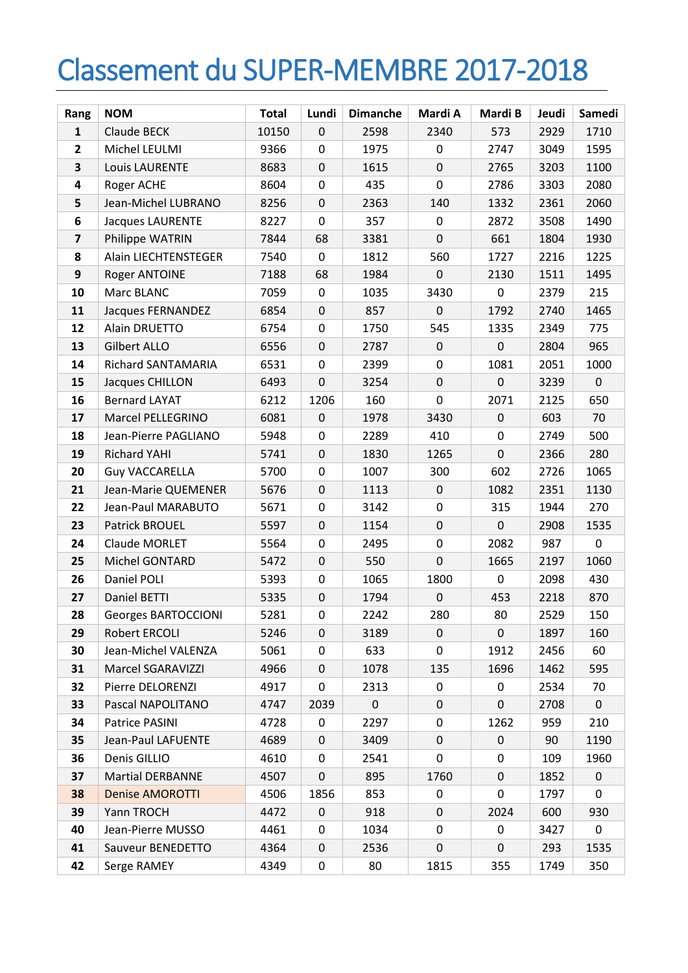## Classement du SUPER-MEMBRE 2017-2018

| Rang                    | <b>NOM</b>                 | <b>Total</b> | Lundi            | <b>Dimanche</b> | Mardi A     | Mardi B     | Jeudi | Samedi      |
|-------------------------|----------------------------|--------------|------------------|-----------------|-------------|-------------|-------|-------------|
| 1                       | Claude BECK                | 10150        | $\mathbf 0$      | 2598            | 2340        | 573         | 2929  | 1710        |
| $\mathbf{2}$            | Michel LEULMI              | 9366         | $\mathbf 0$      | 1975            | 0           | 2747        | 3049  | 1595        |
| 3                       | <b>Louis LAURENTE</b>      | 8683         | $\mathbf 0$      | 1615            | $\pmb{0}$   | 2765        | 3203  | 1100        |
| 4                       | Roger ACHE                 | 8604         | $\boldsymbol{0}$ | 435             | $\pmb{0}$   | 2786        | 3303  | 2080        |
| 5                       | Jean-Michel LUBRANO        | 8256         | $\mathsf 0$      | 2363            | 140         | 1332        | 2361  | 2060        |
| 6                       | <b>Jacques LAURENTE</b>    | 8227         | $\mathbf 0$      | 357             | 0           | 2872        | 3508  | 1490        |
| $\overline{\mathbf{z}}$ | Philippe WATRIN            | 7844         | 68               | 3381            | $\mathbf 0$ | 661         | 1804  | 1930        |
| 8                       | Alain LIECHTENSTEGER       | 7540         | 0                | 1812            | 560         | 1727        | 2216  | 1225        |
| 9                       | Roger ANTOINE              | 7188         | 68               | 1984            | 0           | 2130        | 1511  | 1495        |
| 10                      | Marc BLANC                 | 7059         | 0                | 1035            | 3430        | 0           | 2379  | 215         |
| 11                      | Jacques FERNANDEZ          | 6854         | $\boldsymbol{0}$ | 857             | 0           | 1792        | 2740  | 1465        |
| 12                      | Alain DRUETTO              | 6754         | $\mathbf 0$      | 1750            | 545         | 1335        | 2349  | 775         |
| 13                      | Gilbert ALLO               | 6556         | 0                | 2787            | 0           | 0           | 2804  | 965         |
| 14                      | Richard SANTAMARIA         | 6531         | $\mathbf 0$      | 2399            | 0           | 1081        | 2051  | 1000        |
| 15                      | Jacques CHILLON            | 6493         | $\mathbf 0$      | 3254            | 0           | 0           | 3239  | $\mathbf 0$ |
| 16                      | <b>Bernard LAYAT</b>       | 6212         | 1206             | 160             | $\pmb{0}$   | 2071        | 2125  | 650         |
| 17                      | Marcel PELLEGRINO          | 6081         | $\mathbf 0$      | 1978            | 3430        | $\pmb{0}$   | 603   | 70          |
| 18                      | Jean-Pierre PAGLIANO       | 5948         | 0                | 2289            | 410         | 0           | 2749  | 500         |
| 19                      | Richard YAHI               | 5741         | $\mathbf 0$      | 1830            | 1265        | $\mathbf 0$ | 2366  | 280         |
| 20                      | <b>Guy VACCARELLA</b>      | 5700         | 0                | 1007            | 300         | 602         | 2726  | 1065        |
| 21                      | Jean-Marie QUEMENER        | 5676         | $\pmb{0}$        | 1113            | $\pmb{0}$   | 1082        | 2351  | 1130        |
| 22                      | Jean-Paul MARABUTO         | 5671         | 0                | 3142            | 0           | 315         | 1944  | 270         |
| 23                      | Patrick BROUEL             | 5597         | $\pmb{0}$        | 1154            | $\pmb{0}$   | 0           | 2908  | 1535        |
| 24                      | Claude MORLET              | 5564         | $\mathbf 0$      | 2495            | 0           | 2082        | 987   | 0           |
| 25                      | Michel GONTARD             | 5472         | 0                | 550             | 0           | 1665        | 2197  | 1060        |
| 26                      | Daniel POLI                | 5393         | $\boldsymbol{0}$ | 1065            | 1800        | 0           | 2098  | 430         |
| 27                      | Daniel BETTI               | 5335         | $\mathbf 0$      | 1794            | $\pmb{0}$   | 453         | 2218  | 870         |
| 28                      | <b>Georges BARTOCCIONI</b> | 5281         | $\mathbf 0$      | 2242            | 280         | 80          | 2529  | 150         |
| 29                      | Robert ERCOLI              | 5246         | 0                | 3189            | 0           | 0           | 1897  | 160         |
| 30                      | Jean-Michel VALENZA        | 5061         | 0                | 633             | 0           | 1912        | 2456  | 60          |
| 31                      | Marcel SGARAVIZZI          | 4966         | 0                | 1078            | 135         | 1696        | 1462  | 595         |
| 32                      | Pierre DELORENZI           | 4917         | 0                | 2313            | 0           | 0           | 2534  | 70          |
| 33                      | Pascal NAPOLITANO          | 4747         | 2039             | $\mathbf 0$     | 0           | 0           | 2708  | $\mathbf 0$ |
| 34                      | Patrice PASINI             | 4728         | 0                | 2297            | 0           | 1262        | 959   | 210         |
| 35                      | Jean-Paul LAFUENTE         | 4689         | 0                | 3409            | 0           | 0           | 90    | 1190        |
| 36                      | Denis GILLIO               | 4610         | 0                | 2541            | 0           | 0           | 109   | 1960        |
| 37                      | <b>Martial DERBANNE</b>    | 4507         | 0                | 895             | 1760        | 0           | 1852  | 0           |
| 38                      | <b>Denise AMOROTTI</b>     | 4506         | 1856             | 853             | 0           | 0           | 1797  | 0           |
| 39                      | Yann TROCH                 | 4472         | $\mathbf 0$      | 918             | 0           | 2024        | 600   | 930         |
| 40                      | Jean-Pierre MUSSO          | 4461         | 0                | 1034            | 0           | 0           | 3427  | 0           |
| 41                      | Sauveur BENEDETTO          | 4364         | 0                | 2536            | 0           | 0           | 293   | 1535        |
| 42                      | Serge RAMEY                | 4349         | 0                | 80              | 1815        | 355         | 1749  | 350         |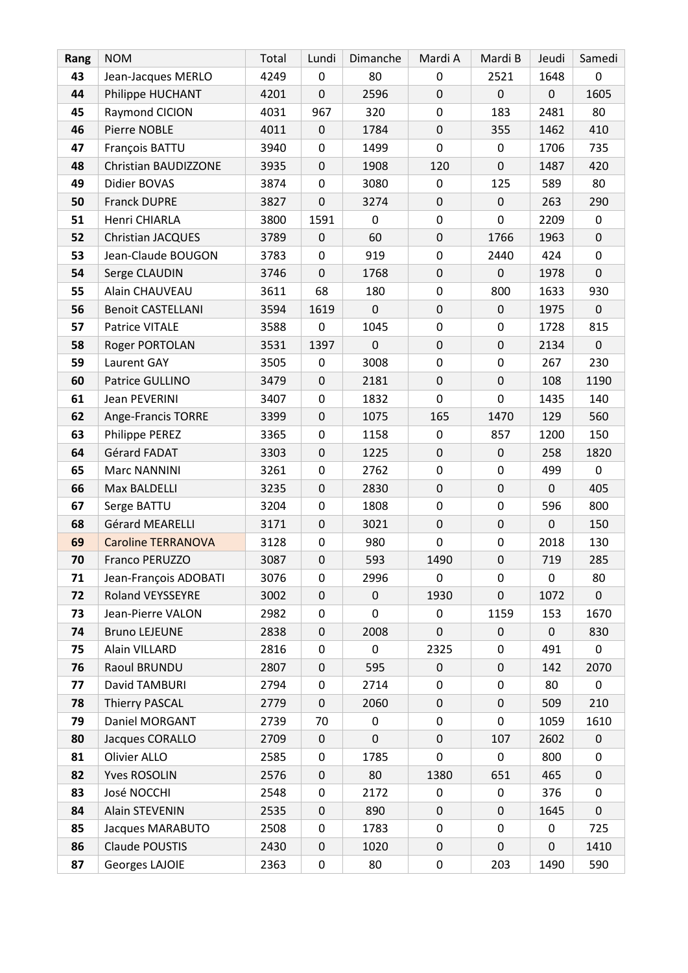| Rang | <b>NOM</b>                | Total | Lundi            | Dimanche       | Mardi A     | Mardi B     | Jeudi       | Samedi              |
|------|---------------------------|-------|------------------|----------------|-------------|-------------|-------------|---------------------|
| 43   | Jean-Jacques MERLO        | 4249  | $\mathbf 0$      | 80             | $\mathbf 0$ | 2521        | 1648        | 0                   |
| 44   | Philippe HUCHANT          | 4201  | $\mathbf 0$      | 2596           | 0           | $\mathsf 0$ | $\mathsf 0$ | 1605                |
| 45   | Raymond CICION            | 4031  | 967              | 320            | 0           | 183         | 2481        | 80                  |
| 46   | Pierre NOBLE              | 4011  | $\mathbf 0$      | 1784           | 0           | 355         | 1462        | 410                 |
| 47   | François BATTU            | 3940  | 0                | 1499           | 0           | 0           | 1706        | 735                 |
| 48   | Christian BAUDIZZONE      | 3935  | $\mathbf 0$      | 1908           | 120         | 0           | 1487        | 420                 |
| 49   | Didier BOVAS              | 3874  | $\mathbf 0$      | 3080           | $\mathbf 0$ | 125         | 589         | 80                  |
| 50   | Franck DUPRE              | 3827  | $\pmb{0}$        | 3274           | 0           | 0           | 263         | 290                 |
| 51   | Henri CHIARLA             | 3800  | 1591             | $\mathbf 0$    | $\pmb{0}$   | 0           | 2209        | $\mathbf 0$         |
| 52   | <b>Christian JACQUES</b>  | 3789  | $\mathbf 0$      | 60             | 0           | 1766        | 1963        | $\mathsf 0$         |
| 53   | Jean-Claude BOUGON        | 3783  | $\mathbf 0$      | 919            | 0           | 2440        | 424         | 0                   |
| 54   | Serge CLAUDIN             | 3746  | $\pmb{0}$        | 1768           | 0           | 0           | 1978        | $\mathsf 0$         |
| 55   | Alain CHAUVEAU            | 3611  | 68               | 180            | $\pmb{0}$   | 800         | 1633        | 930                 |
| 56   | <b>Benoit CASTELLANI</b>  | 3594  | 1619             | $\mathbf 0$    | 0           | 0           | 1975        | $\mathbf 0$         |
| 57   | Patrice VITALE            | 3588  | 0                | 1045           | 0           | 0           | 1728        | 815                 |
| 58   | Roger PORTOLAN            | 3531  | 1397             | $\overline{0}$ | 0           | 0           | 2134        | $\mathsf{O}\xspace$ |
| 59   | Laurent GAY               | 3505  | 0                | 3008           | 0           | 0           | 267         | 230                 |
| 60   | Patrice GULLINO           | 3479  | $\boldsymbol{0}$ | 2181           | 0           | $\mathsf 0$ | 108         | 1190                |
| 61   | <b>Jean PEVERINI</b>      | 3407  | $\mathbf 0$      | 1832           | 0           | 0           | 1435        | 140                 |
| 62   | Ange-Francis TORRE        | 3399  | $\mathbf 0$      | 1075           | 165         | 1470        | 129         | 560                 |
| 63   | Philippe PEREZ            | 3365  | $\boldsymbol{0}$ | 1158           | $\pmb{0}$   | 857         | 1200        | 150                 |
| 64   | Gérard FADAT              | 3303  | $\mathbf 0$      | 1225           | 0           | 0           | 258         | 1820                |
| 65   | Marc NANNINI              | 3261  | $\mathbf 0$      | 2762           | 0           | 0           | 499         | $\mathbf 0$         |
| 66   | Max BALDELLI              | 3235  | $\pmb{0}$        | 2830           | 0           | 0           | $\mathbf 0$ | 405                 |
| 67   | Serge BATTU               | 3204  | $\boldsymbol{0}$ | 1808           | $\pmb{0}$   | 0           | 596         | 800                 |
| 68   | Gérard MEARELLI           | 3171  | $\mathsf 0$      | 3021           | 0           | 0           | $\pmb{0}$   | 150                 |
| 69   | <b>Caroline TERRANOVA</b> | 3128  | $\boldsymbol{0}$ | 980            | 0           | 0           | 2018        | 130                 |
| 70   | Franco PERUZZO            | 3087  | $\mathbf 0$      | 593            | 1490        | 0           | 719         | 285                 |
| 71   | Jean-François ADOBATI     | 3076  | 0                | 2996           | 0           | 0           | 0           | 80                  |
| 72   | <b>Roland VEYSSEYRE</b>   | 3002  | $\boldsymbol{0}$ | $\pmb{0}$      | 1930        | $\mathsf 0$ | 1072        | $\mathbf 0$         |
| 73   | Jean-Pierre VALON         | 2982  | 0                | 0              | 0           | 1159        | 153         | 1670                |
| 74   | <b>Bruno LEJEUNE</b>      | 2838  | $\pmb{0}$        | 2008           | 0           | 0           | $\mathsf 0$ | 830                 |
| 75   | Alain VILLARD             | 2816  | 0                | $\mathbf 0$    | 2325        | 0           | 491         | $\mathbf 0$         |
| 76   | Raoul BRUNDU              | 2807  | $\mathbf 0$      | 595            | 0           | 0           | 142         | 2070                |
| 77   | David TAMBURI             | 2794  | $\mathbf 0$      | 2714           | 0           | 0           | 80          | 0                   |
| 78   | <b>Thierry PASCAL</b>     | 2779  | 0                | 2060           | 0           | 0           | 509         | 210                 |
| 79   | Daniel MORGANT            | 2739  | 70               | $\pmb{0}$      | $\pmb{0}$   | 0           | 1059        | 1610                |
| 80   | Jacques CORALLO           | 2709  | $\mathbf 0$      | $\mathbf 0$    | 0           | 107         | 2602        | $\mathbf 0$         |
| 81   | Olivier ALLO              | 2585  | $\mathbf 0$      | 1785           | 0           | 0           | 800         | 0                   |
| 82   | <b>Yves ROSOLIN</b>       | 2576  | $\boldsymbol{0}$ | 80             | 1380        | 651         | 465         | $\mathsf 0$         |
| 83   | José NOCCHI               | 2548  | 0                | 2172           | 0           | 0           | 376         | 0                   |
| 84   | Alain STEVENIN            | 2535  | $\pmb{0}$        | 890            | 0           | 0           | 1645        | $\mathbf 0$         |
| 85   | Jacques MARABUTO          | 2508  | 0                | 1783           | 0           | 0           | 0           | 725                 |
| 86   | Claude POUSTIS            | 2430  | $\mathbf 0$      | 1020           | 0           | $\mathsf 0$ | $\mathbf 0$ | 1410                |
| 87   | Georges LAJOIE            | 2363  | $\pmb{0}$        | 80             | 0           | 203         | 1490        | 590                 |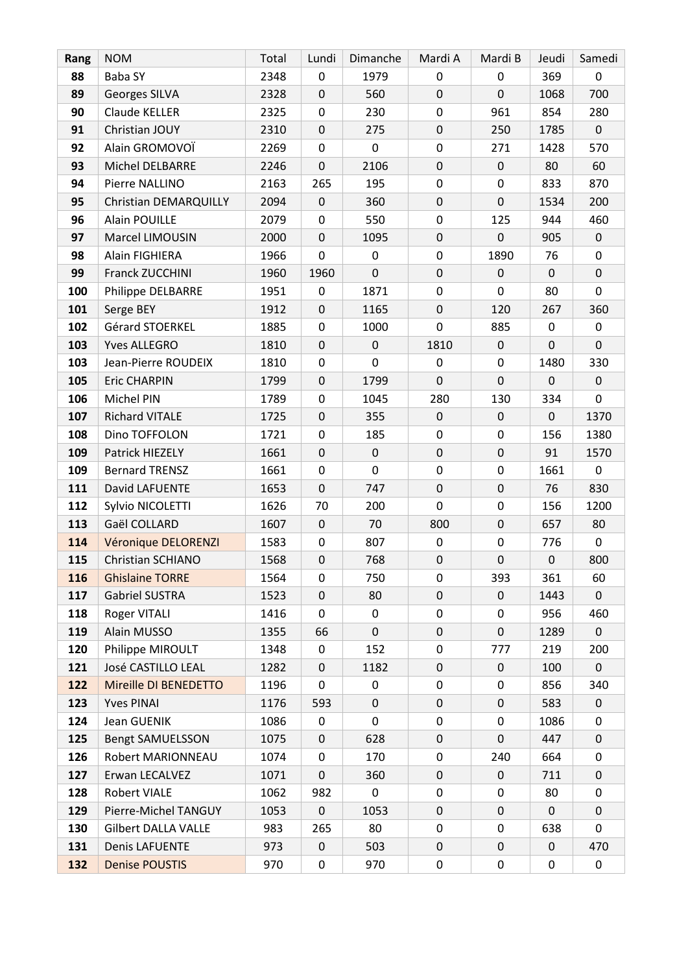| Rang | <b>NOM</b>                 | Total | Lundi            | Dimanche    | Mardi A     | Mardi B     | Jeudi       | Samedi              |
|------|----------------------------|-------|------------------|-------------|-------------|-------------|-------------|---------------------|
| 88   | <b>Baba SY</b>             | 2348  | $\mathbf 0$      | 1979        | 0           | 0           | 369         | 0                   |
| 89   | Georges SILVA              | 2328  | $\mathbf 0$      | 560         | 0           | 0           | 1068        | 700                 |
| 90   | Claude KELLER              | 2325  | $\mathbf 0$      | 230         | 0           | 961         | 854         | 280                 |
| 91   | Christian JOUY             | 2310  | $\mathbf 0$      | 275         | 0           | 250         | 1785        | $\mathbf 0$         |
| 92   | Alain GROMOVOÏ             | 2269  | $\mathbf 0$      | 0           | 0           | 271         | 1428        | 570                 |
| 93   | Michel DELBARRE            | 2246  | $\mathbf 0$      | 2106        | 0           | $\mathsf 0$ | 80          | 60                  |
| 94   | Pierre NALLINO             | 2163  | 265              | 195         | $\pmb{0}$   | 0           | 833         | 870                 |
| 95   | Christian DEMARQUILLY      | 2094  | $\mathbf 0$      | 360         | $\pmb{0}$   | $\mathbf 0$ | 1534        | 200                 |
| 96   | <b>Alain POUILLE</b>       | 2079  | $\mathbf 0$      | 550         | $\pmb{0}$   | 125         | 944         | 460                 |
| 97   | Marcel LIMOUSIN            | 2000  | $\mathbf 0$      | 1095        | 0           | 0           | 905         | $\mathbf 0$         |
| 98   | Alain FIGHIERA             | 1966  | $\boldsymbol{0}$ | 0           | $\pmb{0}$   | 1890        | 76          | 0                   |
| 99   | Franck ZUCCHINI            | 1960  | 1960             | $\mathbf 0$ | 0           | 0           | $\mathsf 0$ | $\mathbf 0$         |
| 100  | Philippe DELBARRE          | 1951  | $\boldsymbol{0}$ | 1871        | $\pmb{0}$   | 0           | 80          | 0                   |
| 101  | Serge BEY                  | 1912  | $\mathbf 0$      | 1165        | $\pmb{0}$   | 120         | 267         | 360                 |
| 102  | Gérard STOERKEL            | 1885  | $\mathbf 0$      | 1000        | 0           | 885         | 0           | 0                   |
| 103  | <b>Yves ALLEGRO</b>        | 1810  | $\mathbf 0$      | $\mathbf 0$ | 1810        | $\mathsf 0$ | $\mathbf 0$ | $\mathbf 0$         |
| 103  | Jean-Pierre ROUDEIX        | 1810  | 0                | $\Omega$    | 0           | 0           | 1480        | 330                 |
| 105  | <b>Eric CHARPIN</b>        | 1799  | $\boldsymbol{0}$ | 1799        | $\mathbf 0$ | $\mathsf 0$ | $\pmb{0}$   | $\mathsf{O}\xspace$ |
| 106  | Michel PIN                 | 1789  | $\mathbf 0$      | 1045        | 280         | 130         | 334         | $\mathbf 0$         |
| 107  | Richard VITALE             | 1725  | $\boldsymbol{0}$ | 355         | 0           | 0           | $\mathbf 0$ | 1370                |
| 108  | Dino TOFFOLON              | 1721  | $\mathbf 0$      | 185         | $\pmb{0}$   | 0           | 156         | 1380                |
| 109  | Patrick HIEZELY            | 1661  | $\mathbf 0$      | $\pmb{0}$   | 0           | 0           | 91          | 1570                |
| 109  | <b>Bernard TRENSZ</b>      | 1661  | $\boldsymbol{0}$ | 0           | $\pmb{0}$   | 0           | 1661        | $\mathbf 0$         |
| 111  | David LAFUENTE             | 1653  | $\mathsf 0$      | 747         | 0           | 0           | 76          | 830                 |
| 112  | Sylvio NICOLETTI           | 1626  | 70               | 200         | 0           | 0           | 156         | 1200                |
| 113  | Gaël COLLARD               | 1607  | $\mathsf 0$      | 70          | 800         | 0           | 657         | 80                  |
| 114  | Véronique DELORENZI        | 1583  | $\mathbf 0$      | 807         | 0           | 0           | 776         | 0                   |
| 115  | Christian SCHIANO          | 1568  | $\mathbf 0$      | 768         | $\pmb{0}$   | $\mathsf 0$ | $\pmb{0}$   | 800                 |
| 116  | <b>Ghislaine TORRE</b>     | 1564  | 0                | 750         | 0           | 393         | 361         | 60                  |
| 117  | <b>Gabriel SUSTRA</b>      | 1523  | $\mathbf 0$      | 80          | 0           | 0           | 1443        | $\mathbf 0$         |
| 118  | Roger VITALI               | 1416  | 0                | $\mathbf 0$ | 0           | 0           | 956         | 460                 |
| 119  | Alain MUSSO                | 1355  | 66               | 0           | 0           | 0           | 1289        | $\mathbf 0$         |
| 120  | Philippe MIROULT           | 1348  | 0                | 152         | 0           | 777         | 219         | 200                 |
| 121  | José CASTILLO LEAL         | 1282  | $\mathbf 0$      | 1182        | 0           | 0           | 100         | $\mathbf 0$         |
| 122  | Mireille DI BENEDETTO      | 1196  | 0                | 0           | 0           | 0           | 856         | 340                 |
| 123  | <b>Yves PINAI</b>          | 1176  | 593              | $\mathbf 0$ | 0           | 0           | 583         | $\mathbf 0$         |
| 124  | Jean GUENIK                | 1086  | $\mathbf 0$      | 0           | 0           | 0           | 1086        | 0                   |
| 125  | <b>Bengt SAMUELSSON</b>    | 1075  | $\mathsf 0$      | 628         | 0           | 0           | 447         | $\mathbf 0$         |
| 126  | Robert MARIONNEAU          | 1074  | 0                | 170         | 0           | 240         | 664         | 0                   |
| 127  | Erwan LECALVEZ             | 1071  | $\mathbf 0$      | 360         | 0           | 0           | 711         | $\mathbf 0$         |
| 128  | Robert VIALE               | 1062  | 982              | 0           | 0           | 0           | 80          | 0                   |
| 129  | Pierre-Michel TANGUY       | 1053  | $\mathbf 0$      | 1053        | 0           | 0           | $\mathbf 0$ | $\mathbf 0$         |
| 130  | <b>Gilbert DALLA VALLE</b> | 983   | 265              | 80          | 0           | 0           | 638         | 0                   |
| 131  | <b>Denis LAFUENTE</b>      | 973   | $\mathbf 0$      | 503         | 0           | 0           | $\pmb{0}$   | 470                 |
| 132  | <b>Denise POUSTIS</b>      | 970   | $\pmb{0}$        | 970         | 0           | 0           | 0           | $\mathbf 0$         |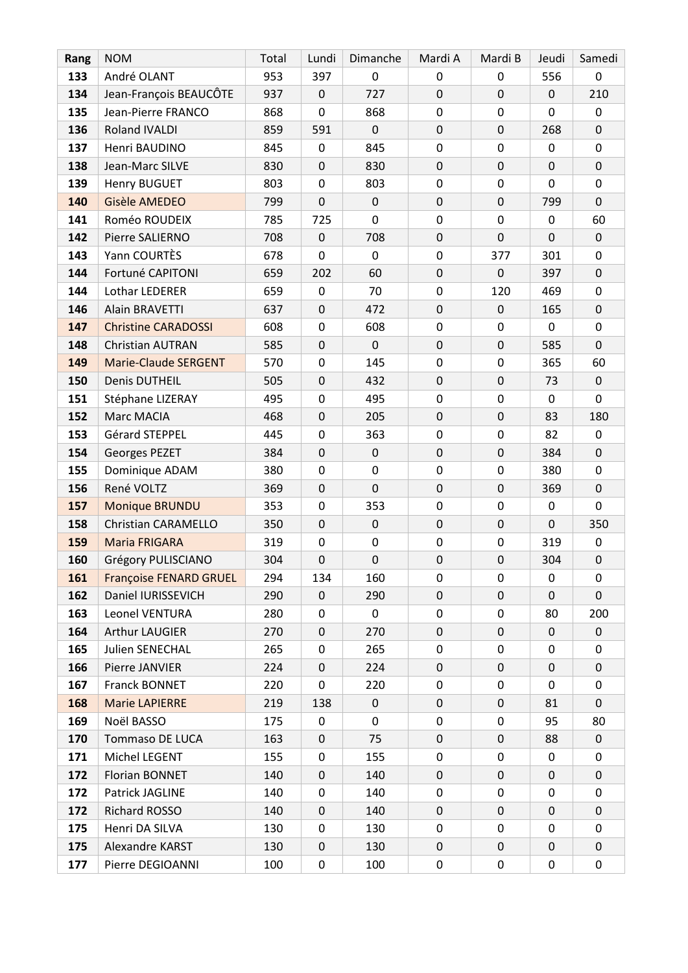| Rang | <b>NOM</b>                    | Total | Lundi            | Dimanche       | Mardi A   | Mardi B     | Jeudi       | Samedi      |
|------|-------------------------------|-------|------------------|----------------|-----------|-------------|-------------|-------------|
| 133  | André OLANT                   | 953   | 397              | 0              | 0         | 0           | 556         | 0           |
| 134  | Jean-François BEAUCÔTE        | 937   | $\mathbf 0$      | 727            | 0         | 0           | $\mathbf 0$ | 210         |
| 135  | Jean-Pierre FRANCO            | 868   | 0                | 868            | 0         | 0           | 0           | 0           |
| 136  | Roland IVALDI                 | 859   | 591              | $\mathbf{0}$   | 0         | 0           | 268         | $\mathbf 0$ |
| 137  | Henri BAUDINO                 | 845   | 0                | 845            | 0         | 0           | 0           | 0           |
| 138  | Jean-Marc SILVE               | 830   | $\mathbf 0$      | 830            | 0         | $\mathsf 0$ | $\mathbf 0$ | $\mathbf 0$ |
| 139  | Henry BUGUET                  | 803   | 0                | 803            | 0         | $\pmb{0}$   | 0           | 0           |
| 140  | Gisèle AMEDEO                 | 799   | $\mathbf 0$      | $\mathbf 0$    | 0         | $\mathsf 0$ | 799         | $\mathbf 0$ |
| 141  | Roméo ROUDEIX                 | 785   | 725              | $\overline{0}$ | 0         | 0           | $\mathbf 0$ | 60          |
| 142  | Pierre SALIERNO               | 708   | 0                | 708            | 0         | 0           | 0           | 0           |
| 143  | Yann COURTÈS                  | 678   | $\overline{0}$   | $\overline{0}$ | 0         | 377         | 301         | 0           |
| 144  | Fortuné CAPITONI              | 659   | 202              | 60             | 0         | 0           | 397         | 0           |
| 144  | Lothar LEDERER                | 659   | $\mathbf 0$      | 70             | 0         | 120         | 469         | 0           |
| 146  | Alain BRAVETTI                | 637   | $\mathbf 0$      | 472            | $\pmb{0}$ | 0           | 165         | $\mathbf 0$ |
| 147  | <b>Christine CARADOSSI</b>    | 608   | $\mathbf 0$      | 608            | $\pmb{0}$ | 0           | 0           | 0           |
| 148  | Christian AUTRAN              | 585   | $\mathbf 0$      | $\mathbf 0$    | 0         | 0           | 585         | $\mathbf 0$ |
| 149  | <b>Marie-Claude SERGENT</b>   | 570   | 0                | 145            | 0         | 0           | 365         | 60          |
| 150  | Denis DUTHEIL                 | 505   | $\mathbf 0$      | 432            | 0         | $\mathsf 0$ | 73          | $\mathbf 0$ |
| 151  | Stéphane LIZERAY              | 495   | $\mathbf 0$      | 495            | 0         | 0           | 0           | 0           |
| 152  | Marc MACIA                    | 468   | $\mathbf 0$      | 205            | 0         | $\mathsf 0$ | 83          | 180         |
| 153  | Gérard STEPPEL                | 445   | 0                | 363            | 0         | $\pmb{0}$   | 82          | 0           |
| 154  | Georges PEZET                 | 384   | 0                | 0              | 0         | 0           | 384         | $\mathbf 0$ |
| 155  | Dominique ADAM                | 380   | 0                | 0              | 0         | 0           | 380         | 0           |
| 156  | René VOLTZ                    | 369   | $\pmb{0}$        | $\mathbf 0$    | $\pmb{0}$ | 0           | 369         | $\mathbf 0$ |
| 157  | Monique BRUNDU                | 353   | $\boldsymbol{0}$ | 353            | 0         | 0           | $\pmb{0}$   | $\mathbf 0$ |
| 158  | <b>Christian CARAMELLO</b>    | 350   | $\mathbf 0$      | $\mathbf 0$    | $\pmb{0}$ | 0           | $\mathbf 0$ | 350         |
| 159  | <b>Maria FRIGARA</b>          | 319   | 0                | 0              | $\pmb{0}$ | 0           | 319         | 0           |
| 160  | Grégory PULISCIANO            | 304   | $\mathbf 0$      | 0              | 0         | $\mathsf 0$ | 304         | $\pmb{0}$   |
| 161  | <b>Françoise FENARD GRUEL</b> | 294   | 134              | 160            | 0         | 0           | 0           | 0           |
| 162  | Daniel IURISSEVICH            | 290   | 0                | 290            | 0         | 0           | $\mathbf 0$ | $\mathbf 0$ |
| 163  | Leonel VENTURA                | 280   | 0                | 0              | 0         | 0           | 80          | 200         |
| 164  | Arthur LAUGIER                | 270   | 0                | 270            | 0         | 0           | 0           | 0           |
| 165  | Julien SENECHAL               | 265   | 0                | 265            | 0         | 0           | 0           | 0           |
| 166  | Pierre JANVIER                | 224   | 0                | 224            | 0         | 0           | 0           | 0           |
| 167  | Franck BONNET                 | 220   | 0                | 220            | 0         | 0           | 0           | 0           |
| 168  | <b>Marie LAPIERRE</b>         | 219   | 138              | 0              | 0         | 0           | 81          | 0           |
| 169  | Noël BASSO                    | 175   | $\boldsymbol{0}$ | 0              | 0         | 0           | 95          | 80          |
| 170  | <b>Tommaso DE LUCA</b>        | 163   | 0                | 75             | 0         | 0           | 88          | 0           |
| 171  | Michel LEGENT                 | 155   | 0                | 155            | 0         | 0           | 0           | 0           |
| 172  | Florian BONNET                | 140   | 0                | 140            | 0         | 0           | 0           | $\mathbf 0$ |
| 172  | Patrick JAGLINE               | 140   | 0                | 140            | 0         | 0           | 0           | 0           |
| 172  | Richard ROSSO                 | 140   | 0                | 140            | 0         | 0           | 0           | $\mathbf 0$ |
| 175  | Henri DA SILVA                | 130   | 0                | 130            | 0         | 0           | 0           | 0           |
| 175  | Alexandre KARST               | 130   | $\pmb{0}$        | 130            | 0         | 0           | 0           | 0           |
| 177  | Pierre DEGIOANNI              | 100   | 0                | 100            | 0         | 0           | 0           | 0           |